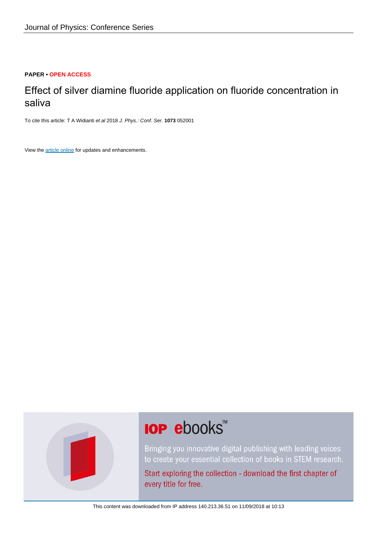## **PAPER • OPEN ACCESS**

# Effect of silver diamine fluoride application on fluoride concentration in saliva

To cite this article: T A Widianti et al 2018 J. Phys.: Conf. Ser. **1073** 052001

View the [article online](https://doi.org/10.1088/1742-6596/1073/5/052001) for updates and enhancements.



# **IOP ebooks**™

Bringing you innovative digital publishing with leading voices to create your essential collection of books in STEM research.

Start exploring the collection - download the first chapter of every title for free.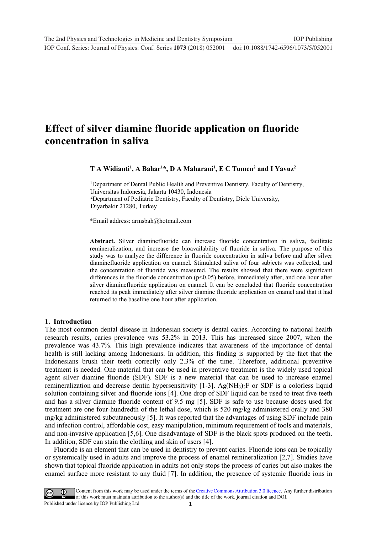# **Effect of silver diamine fluoride application on fluoride concentration in saliva**

**T A Widianti<sup>1</sup> , A Bahar<sup>1</sup>\*, D A Maharani<sup>1</sup> , E C Tumen<sup>2</sup> and I Yavuz<sup>2</sup>**

<sup>1</sup>Department of Dental Public Health and Preventive Dentistry, Faculty of Dentistry, Universitas Indonesia, Jakarta 10430, Indonesia <sup>2</sup>Department of Pediatric Dentistry, Faculty of Dentistry, Dicle University, Diyarbakir 21280, Turkey

\*Email address: armsbah@hotmail.com

**Abstract.** Silver diaminefluoride can increase fluoride concentration in saliva, facilitate remineralization, and increase the bioavailability of fluoride in saliva. The purpose of this study was to analyze the difference in fluoride concentration in saliva before and after silver diaminefluoride application on enamel*.* Stimulated saliva of four subjects was collected, and the concentration of fluoride was measured. The results showed that there were significant differences in the fluoride concentration  $(p<0.05)$  before, immediately after, and one hour after silver diaminefluoride application on enamel*.* It can be concluded that fluoride concentration reached its peak immediately after silver diamine fluoride application on enamel and that it had returned to the baseline one hour after application.

### **1. Introduction**

The most common dental disease in Indonesian society is dental caries. According to national health research results, caries prevalence was 53.2% in 2013. This has increased since 2007, when the prevalence was 43.7%. This high prevalence indicates that awareness of the importance of dental health is still lacking among Indonesians. In addition, this finding is supported by the fact that the Indonesians brush their teeth correctly only 2.3% of the time. Therefore, additional preventive treatment is needed. One material that can be used in preventive treatment is the widely used topical agent silver diamine fluoride (SDF). SDF is a new material that can be used to increase enamel remineralization and decrease dentin hypersensitivity  $[1-3]$ . Ag(NH<sub>3</sub>)<sub>2</sub>F or SDF is a colorless liquid solution containing silver and fluoride ions [4]. One drop of SDF liquid can be used to treat five teeth and has a silver diamine fluoride content of 9.5 mg [5]. SDF is safe to use because doses used for treatment are one four-hundredth of the lethal dose, which is 520 mg/kg administered orally and 380 mg/kg administered subcutaneously [5]. It was reported that the advantages of using SDF include pain and infection control, affordable cost, easy manipulation, minimum requirement of tools and materials, and non-invasive application [5,6]. One disadvantage of SDF is the black spots produced on the teeth. In addition, SDF can stain the clothing and skin of users [4].

Fluoride is an element that can be used in dentistry to prevent caries. Fluoride ions can be topically or systemically used in adults and improve the process of enamel remineralization [2,7]. Studies have shown that topical fluoride application in adults not only stops the process of caries but also makes the enamel surface more resistant to any fluid [7]. In addition, the presence of systemic fluoride ions in

1 Content from this work may be used under the terms of the[Creative Commons Attribution 3.0 licence.](http://creativecommons.org/licenses/by/3.0) Any further distribution of this work must maintain attribution to the author(s) and the title of the work, journal citation and DOI. Published under licence by IOP Publishing Ltd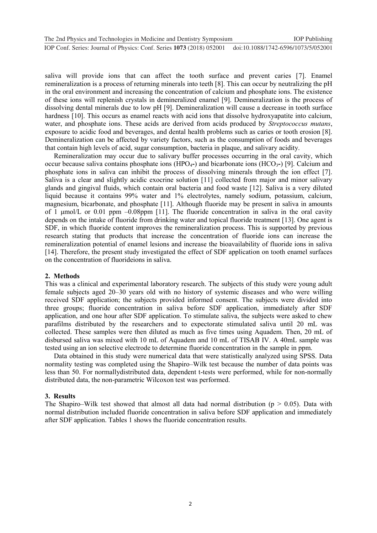saliva will provide ions that can affect the tooth surface and prevent caries [7]. Enamel remineralization is a process of returning minerals into teeth [8]. This can occur by neutralizing the pH in the oral environment and increasing the concentration of calcium and phosphate ions. The existence of these ions will replenish crystals in demineralized enamel [9]. Demineralization is the process of dissolving dental minerals due to low pH [9]. Demineralization will cause a decrease in tooth surface hardness [10]. This occurs as enamel reacts with acid ions that dissolve hydroxyapatite into calcium, water, and phosphate ions. These acids are derived from acids produced by *Streptococcus mutans*, exposure to acidic food and beverages, and dental health problems such as caries or tooth erosion [8]. Demineralization can be affected by variety factors, such as the consumption of foods and beverages that contain high levels of acid, sugar consumption, bacteria in plaque, and salivary acidity.

Remineralization may occur due to salivary buffer processes occurring in the oral cavity, which occur because saliva contains phosphate ions (HPO4**-**) and bicarbonate ions (HCO3**-**) [9]. Calcium and phosphate ions in saliva can inhibit the process of dissolving minerals through the ion effect [7]. Saliva is a clear and slightly acidic exocrine solution [11] collected from major and minor salivary glands and gingival fluids, which contain oral bacteria and food waste [12]. Saliva is a very diluted liquid because it contains 99% water and 1% electrolytes, namely sodium, potassium, calcium, magnesium, bicarbonate, and phosphate [11]. Although fluoride may be present in saliva in amounts of 1 umol/L or 0.01 ppm  $-0.08$ ppm [11]. The fluoride concentration in saliva in the oral cavity depends on the intake of fluoride from drinking water and topical fluoride treatment [13]. One agent is SDF, in which fluoride content improves the remineralization process. This is supported by previous research stating that products that increase the concentration of fluoride ions can increase the remineralization potential of enamel lesions and increase the bioavailability of fluoride ions in saliva [14]. Therefore, the present study investigated the effect of SDF application on tooth enamel surfaces on the concentration of fluorideions in saliva.

#### **2. Methods**

This was a clinical and experimental laboratory research. The subjects of this study were young adult female subjects aged 20–30 years old with no history of systemic diseases and who were willing received SDF application; the subjects provided informed consent. The subjects were divided into three groups; fluoride concentration in saliva before SDF application, immediately after SDF application, and one hour after SDF application. To stimulate saliva, the subjects were asked to chew parafilms distributed by the researchers and to expectorate stimulated saliva until 20 mL was collected. These samples were then diluted as much as five times using Aquadem. Then, 20 mL of disbursed saliva was mixed with 10 mL of Aquadem and 10 mL of TISAB IV. A 40mL sample was tested using an ion selective electrode to determine fluoride concentration in the sample in ppm.

Data obtained in this study were numerical data that were statistically analyzed using SPSS. Data normality testing was completed using the Shapiro–Wilk test because the number of data points was less than 50. For normallydistributed data, dependent t-tests were performed, while for non-normally distributed data, the non-parametric Wilcoxon test was performed.

#### **3. Results**

The Shapiro–Wilk test showed that almost all data had normal distribution ( $p > 0.05$ ). Data with normal distribution included fluoride concentration in saliva before SDF application and immediately after SDF application. Tables 1 shows the fluoride concentration results.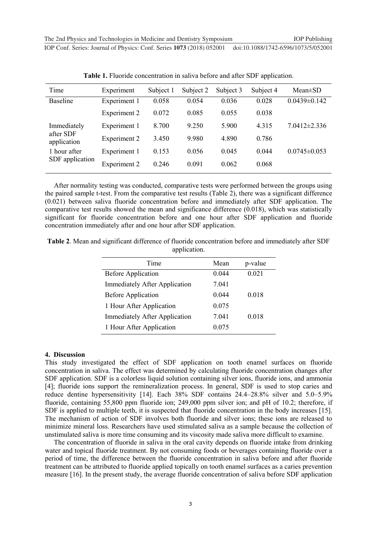| Time                                                                       | Experiment          | Subject 1 | Subject 2 | Subject 3 | Subject 4 | $Mean \pm SD$      |
|----------------------------------------------------------------------------|---------------------|-----------|-----------|-----------|-----------|--------------------|
| <b>Baseline</b>                                                            | Experiment 1        | 0.058     | 0.054     | 0.036     | 0.028     | $0.0439 \pm 0.142$ |
|                                                                            | Experiment 2        | 0.072     | 0.085     | 0.055     | 0.038     |                    |
| Immediately<br>after SDF<br>application<br>1 hour after<br>SDF application | Experiment 1        | 8.700     | 9.250     | 5.900     | 4.315     | $7.0412 \pm 2.336$ |
|                                                                            | Experiment 2        | 3.450     | 9.980     | 4.890     | 0.786     |                    |
|                                                                            | Experiment 1        | 0.153     | 0.056     | 0.045     | 0.044     | $0.0745 \pm 0.053$ |
|                                                                            | <b>Experiment 2</b> | 0.246     | 0.091     | 0.062     | 0.068     |                    |

**Table 1.** Fluoride concentration in saliva before and after SDF application.

After normality testing was conducted, comparative tests were performed between the groups using the paired sample t-test. From the comparative test results (Table 2), there was a significant difference (0.021) between saliva fluoride concentration before and immediately after SDF application. The comparative test results showed the mean and significance difference (0.018), which was statistically significant for fluoride concentration before and one hour after SDF application and fluoride concentration immediately after and one hour after SDF application.

**Table 2**. Mean and significant difference of fluoride concentration before and immediately after SDF application.

| Time                                 | Mean  | p-value |
|--------------------------------------|-------|---------|
| <b>Before Application</b>            | 0.044 | 0.021   |
| <b>Immediately After Application</b> | 7.041 |         |
| <b>Before Application</b>            | 0.044 | 0.018   |
| 1 Hour After Application             | 0.075 |         |
| <b>Immediately After Application</b> | 7.041 | 0.018   |
| 1 Hour After Application             | 0.075 |         |

#### **4. Discussion**

This study investigated the effect of SDF application on tooth enamel surfaces on fluoride concentration in saliva. The effect was determined by calculating fluoride concentration changes after SDF application. SDF is a colorless liquid solution containing silver ions, fluoride ions, and ammonia [4]; fluoride ions support the remineralization process. In general, SDF is used to stop caries and reduce dentine hypersensitivity [14]. Each 38% SDF contains 24.4–28.8% silver and 5.0–5.9% fluoride, containing 55,800 ppm fluoride ion; 249,000 ppm silver ion; and pH of 10.2; therefore, if SDF is applied to multiple teeth, it is suspected that fluoride concentration in the body increases [15]. The mechanism of action of SDF involves both fluoride and silver ions; these ions are released to minimize mineral loss. Researchers have used stimulated saliva as a sample because the collection of unstimulated saliva is more time consuming and its viscosity made saliva more difficult to examine.

The concentration of fluoride in saliva in the oral cavity depends on fluoride intake from drinking water and topical fluoride treatment. By not consuming foods or beverages containing fluoride over a period of time, the difference between the fluoride concentration in saliva before and after fluoride treatment can be attributed to fluoride applied topically on tooth enamel surfaces as a caries prevention measure [16]. In the present study, the average fluoride concentration of saliva before SDF application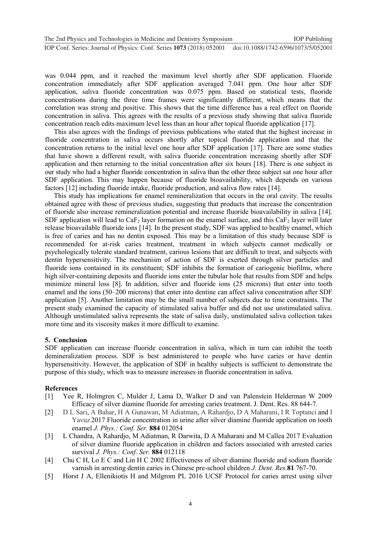was 0.044 ppm, and it reached the maximum level shortly after SDF application. Fluoride concentration immediately after SDF application averaged 7.041 ppm. One hour after SDF application, saliva fluoride concentration was 0.075 ppm. Based on statistical tests, fluoride concentrations during the three time frames were significantly different, which means that the correlation was strong and positive. This shows that the time difference has a real effect on fluoride concentration in saliva. This agrees with the results of a previous study showing that saliva fluoride concentration reach edits maximum level less than an hour after topical fluoride application [17].

This also agrees with the findings of previous publications who stated that the highest increase in fluoride concentration in saliva occurs shortly after topical fluoride application and that the concentration returns to the initial level one hour after SDF application [17]. There are some studies that have shown a different result, with saliva fluoride concentration increasing shortly after SDF application and then returning to the initial concentration after six hours [18]. There is one subject in our study who had a higher fluoride concentration in saliva than the other three subject sat one hour after SDF application. This may happen because of fluoride bioavailability, which depends on various factors [12] including fluoride intake, fluoride production, and saliva flow rates [14].

This study has implications for enamel remineralization that occurs in the oral cavity. The results obtained agree with those of previous studies, suggesting that products that increase the concentration of fluoride also increase remineralization potential and increase fluoride bioavailability in saliva [14]. SDF application will lead to CaF<sub>2</sub> layer formation on the enamel surface, and this CaF<sub>2</sub> layer will later release bioavailable fluoride ions [14]. In the present study, SDF was applied to healthy enamel, which is free of caries and has no dentin exposed. This may be a limitation of this study because SDF is recommended for at-risk caries treatment, treatment in which subjects cannot medically or psychologically tolerate standard treatment, carious lesions that are difficult to treat, and subjects with dentin hypersensitivity. The mechanism of action of SDF is exerted through silver particles and fluoride ions contained in its constituent; SDF inhibits the formation of cariogenic biofilms, where high silver-containing deposits and fluoride ions enter the tubular hole that results from SDF and helps minimize mineral loss [8]. In addition, silver and fluoride ions (25 microns) that enter into tooth enamel and the ions (50–200 microns) that enter into dentine can affect saliva concentration after SDF application [5]. Another limitation may be the small number of subjects due to time constraints. The present study examined the capacity of stimulated saliva buffer and did not use unstimulated saliva. Although unstimulated saliva represents the state of saliva daily, unstimulated saliva collection takes more time and its viscosity makes it more difficult to examine.

# **5. Conclusion**

SDF application can increase fluoride concentration in saliva, which in turn can inhibit the tooth demineralization process. SDF is best administered to people who have caries or have dentin hypersensitivity. However, the application of SDF in healthy subjects is sufficient to demonstrate the purpose of this study, which was to measure increases in fluoride concentration in saliva.

# **References**

- [1] Yee R, Holmgren C, Mulder J, Lama D, Walker D and van Palenstein Helderman W 2009 Efficacy of silver diamine fluoride for arresting caries treatment. J. Dent. Res. 88 644-7.
- [2] D L Sari, A Bahar, H A Gunawan, M Adiatman, A Rahardjo, D A Maharani, I R Toptanci and I Yavuz 2017 Fluoride concentration in urine after silver diamine fluoride application on tooth enamel *J. Phys.: Conf. Ser.* **884** 012054
- [3] L Chandra, A Rahardjo, M Adiatman, R Darwita, D A Maharani and M Callea 2017 Evaluation of silver diamine fluoride application in children and factors associated with arrested caries survival *J. Phys.: Conf. Ser.* **884** 012118
- [4] Chu C H, Lo E C and Lin H C 2002 Effectiveness of silver diamine fluoride and sodium fluoride varnish in arresting dentin caries in Chinese pre-school children *J. Dent. Res.***81** 767-70.
- [5] Horst J A, Ellenikiotis H and Milgrom PL 2016 UCSF Protocol for caries arrest using silver